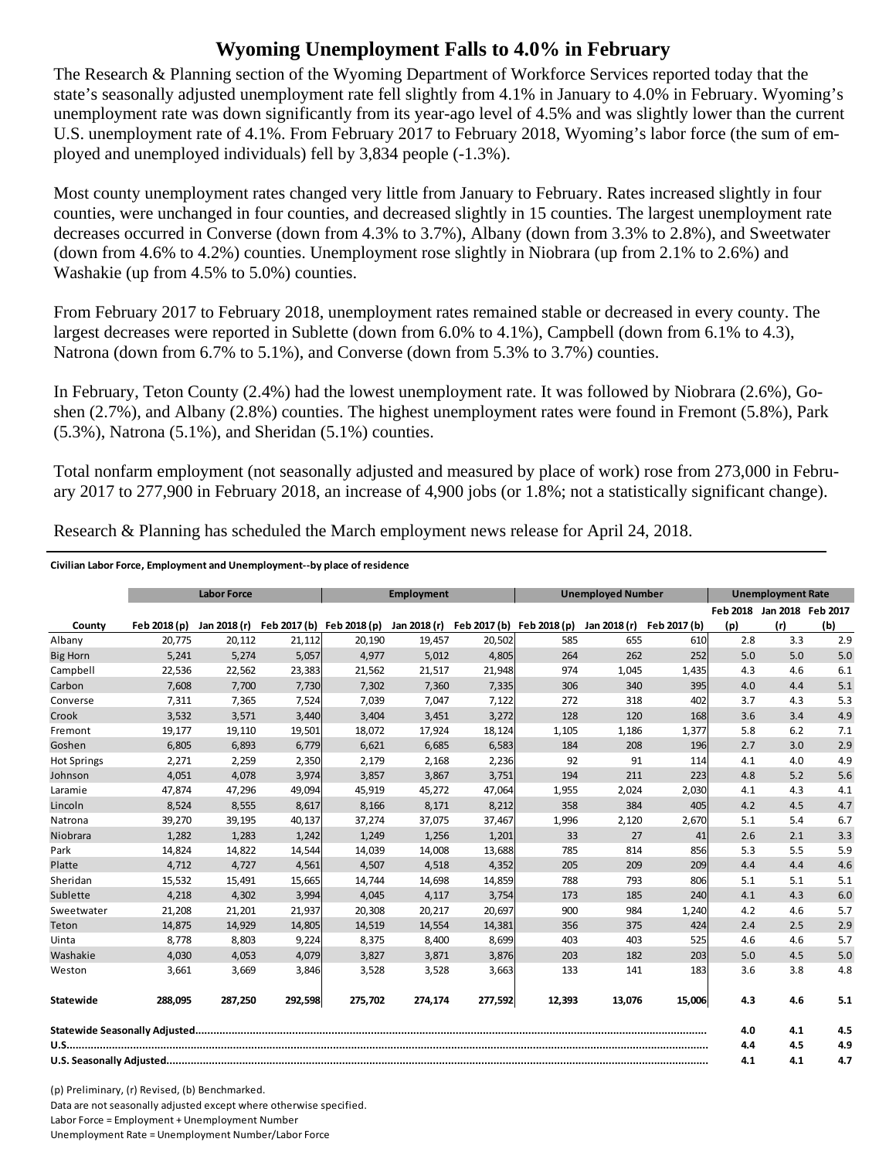## **Wyoming Unemployment Falls to 4.0% in February**

The Research & Planning section of the Wyoming Department of Workforce Services reported today that the state's seasonally adjusted unemployment rate fell slightly from 4.1% in January to 4.0% in February. Wyoming's unemployment rate was down significantly from its year-ago level of 4.5% and was slightly lower than the current U.S. unemployment rate of 4.1%. From February 2017 to February 2018, Wyoming's labor force (the sum of employed and unemployed individuals) fell by 3,834 people (-1.3%).

Most county unemployment rates changed very little from January to February. Rates increased slightly in four counties, were unchanged in four counties, and decreased slightly in 15 counties. The largest unemployment rate decreases occurred in Converse (down from 4.3% to 3.7%), Albany (down from 3.3% to 2.8%), and Sweetwater (down from 4.6% to 4.2%) counties. Unemployment rose slightly in Niobrara (up from 2.1% to 2.6%) and Washakie (up from 4.5% to 5.0%) counties.

From February 2017 to February 2018, unemployment rates remained stable or decreased in every county. The largest decreases were reported in Sublette (down from 6.0% to 4.1%), Campbell (down from 6.1% to 4.3), Natrona (down from 6.7% to 5.1%), and Converse (down from 5.3% to 3.7%) counties.

In February, Teton County (2.4%) had the lowest unemployment rate. It was followed by Niobrara (2.6%), Goshen (2.7%), and Albany (2.8%) counties. The highest unemployment rates were found in Fremont (5.8%), Park  $(5.3\%)$ , Natrona  $(5.1\%)$ , and Sheridan  $(5.1\%)$  counties.

Total nonfarm employment (not seasonally adjusted and measured by place of work) rose from 273,000 in February 2017 to 277,900 in February 2018, an increase of 4,900 jobs (or 1.8%; not a statistically significant change).

|                    | <b>Labor Force</b> |              | Employment                |         |              | <b>Unemployed Number</b>  |        |              | <b>Unemployment Rate</b> |     |                            |     |
|--------------------|--------------------|--------------|---------------------------|---------|--------------|---------------------------|--------|--------------|--------------------------|-----|----------------------------|-----|
|                    |                    |              |                           |         |              |                           |        |              |                          |     | Feb 2018 Jan 2018 Feb 2017 |     |
| County             | Feb 2018 (p)       | Jan 2018 (r) | Feb 2017 (b) Feb 2018 (p) |         | Jan 2018 (r) | Feb 2017 (b) Feb 2018 (p) |        | Jan 2018 (r) | Feb 2017 (b)             | (p) | (r)                        | (b) |
| Albany             | 20.775             | 20,112       | 21,112                    | 20,190  | 19.457       | 20,502                    | 585    | 655          | 610                      | 2.8 | 3.3                        | 2.9 |
| <b>Big Horn</b>    | 5,241              | 5,274        | 5,057                     | 4,977   | 5,012        | 4,805                     | 264    | 262          | 252                      | 5.0 | 5.0                        | 5.0 |
| Campbell           | 22,536             | 22,562       | 23,383                    | 21,562  | 21,517       | 21,948                    | 974    | 1,045        | 1,435                    | 4.3 | 4.6                        | 6.1 |
| Carbon             | 7.608              | 7.700        | 7,730                     | 7.302   | 7.360        | 7,335                     | 306    | 340          | 395                      | 4.0 | 4.4                        | 5.1 |
| Converse           | 7,311              | 7,365        | 7,524                     | 7,039   | 7,047        | 7,122                     | 272    | 318          | 402                      | 3.7 | 4.3                        | 5.3 |
| Crook              | 3,532              | 3,571        | 3,440                     | 3,404   | 3,451        | 3,272                     | 128    | 120          | 168                      | 3.6 | 3.4                        | 4.9 |
| Fremont            | 19,177             | 19,110       | 19,501                    | 18.072  | 17,924       | 18,124                    | 1,105  | 1,186        | 1,377                    | 5.8 | 6.2                        | 7.1 |
| Goshen             | 6,805              | 6,893        | 6,779                     | 6,621   | 6,685        | 6,583                     | 184    | 208          | 196                      | 2.7 | 3.0                        | 2.9 |
| <b>Hot Springs</b> | 2,271              | 2,259        | 2,350                     | 2,179   | 2,168        | 2,236                     | 92     | 91           | 114                      | 4.1 | 4.0                        | 4.9 |
| Johnson            | 4,051              | 4,078        | 3,974                     | 3,857   | 3,867        | 3,751                     | 194    | 211          | 223                      | 4.8 | 5.2                        | 5.6 |
| Laramie            | 47,874             | 47,296       | 49,094                    | 45,919  | 45,272       | 47,064                    | 1,955  | 2,024        | 2,030                    | 4.1 | 4.3                        | 4.1 |
| Lincoln            | 8,524              | 8,555        | 8,617                     | 8,166   | 8,171        | 8,212                     | 358    | 384          | 405                      | 4.2 | 4.5                        | 4.7 |
| Natrona            | 39,270             | 39,195       | 40,137                    | 37,274  | 37,075       | 37,467                    | 1,996  | 2,120        | 2,670                    | 5.1 | 5.4                        | 6.7 |
| Niobrara           | 1.282              | 1.283        | 1,242                     | 1,249   | 1,256        | 1,201                     | 33     | 27           | 41                       | 2.6 | 2.1                        | 3.3 |
| Park               | 14,824             | 14,822       | 14,544                    | 14,039  | 14,008       | 13,688                    | 785    | 814          | 856                      | 5.3 | 5.5                        | 5.9 |
| Platte             | 4,712              | 4.727        | 4,561                     | 4,507   | 4,518        | 4,352                     | 205    | 209          | 209                      | 4.4 | 4.4                        | 4.6 |
| Sheridan           | 15.532             | 15.491       | 15.665                    | 14.744  | 14.698       | 14,859                    | 788    | 793          | 806                      | 5.1 | 5.1                        | 5.1 |
| Sublette           | 4,218              | 4,302        | 3,994                     | 4,045   | 4,117        | 3,754                     | 173    | 185          | 240                      | 4.1 | 4.3                        | 6.0 |
| Sweetwater         | 21,208             | 21,201       | 21,937                    | 20,308  | 20,217       | 20,697                    | 900    | 984          | 1,240                    | 4.2 | 4.6                        | 5.7 |
| Teton              | 14.875             | 14.929       | 14,805                    | 14.519  | 14.554       | 14,381                    | 356    | 375          | 424                      | 2.4 | 2.5                        | 2.9 |
| Uinta              | 8,778              | 8,803        | 9,224                     | 8,375   | 8,400        | 8,699                     | 403    | 403          | 525                      | 4.6 | 4.6                        | 5.7 |
| Washakie           | 4,030              | 4,053        | 4,079                     | 3,827   | 3,871        | 3,876                     | 203    | 182          | 203                      | 5.0 | 4.5                        | 5.0 |
| Weston             | 3,661              | 3,669        | 3,846                     | 3,528   | 3,528        | 3,663                     | 133    | 141          | 183                      | 3.6 | 3.8                        | 4.8 |
| <b>Statewide</b>   | 288,095            | 287,250      | 292,598                   | 275,702 | 274,174      | 277,592                   | 12,393 | 13,076       | 15,006                   | 4.3 | 4.6                        | 5.1 |
|                    |                    |              |                           |         |              |                           | 4.0    | 4.1          | 4.5                      |     |                            |     |
|                    |                    |              |                           |         |              |                           |        |              |                          | 4.4 | 4.5                        | 4.9 |
|                    |                    |              |                           |         |              |                           | 4.1    | 4.1          | 4.7                      |     |                            |     |

Research & Planning has scheduled the March employment news release for April 24, 2018.

## **Civilian Labor Force, Employment and Unemployment‐‐by place of residence**

(p) Preliminary, (r) Revised, (b) Benchmarked. Data are not seasonally adjusted except where otherwise specified. Labor Force = Employment + Unemployment Number Unemployment Rate = Unemployment Number/Labor Force